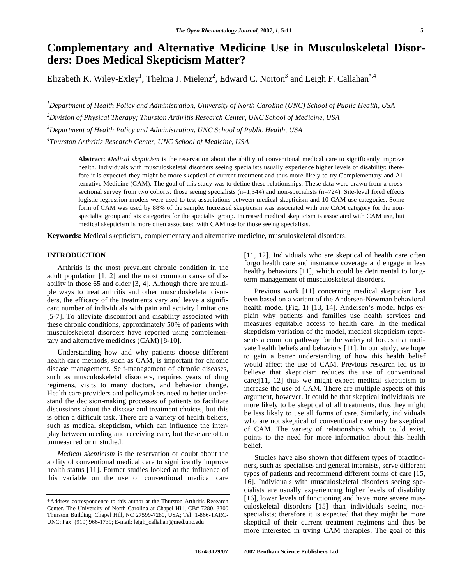# **Complementary and Alternative Medicine Use in Musculoskeletal Disorders: Does Medical Skepticism Matter?**

Elizabeth K. Wiley-Exley<sup>1</sup>, Thelma J. Mielenz<sup>2</sup>, Edward C. Norton<sup>3</sup> and Leigh F. Callahan<sup>\*,4</sup>

 *Department of Health Policy and Administration, University of North Carolina (UNC) School of Public Health, USA Division of Physical Therapy; Thurston Arthritis Research Center, UNC School of Medicine, USA Department of Health Policy and Administration, UNC School of Public Health, USA Thurston Arthritis Research Center, UNC School of Medicine, USA* 

**Abstract:** *Medical skepticism* is the reservation about the ability of conventional medical care to significantly improve health. Individuals with musculoskeletal disorders seeing specialists usually experience higher levels of disability; therefore it is expected they might be more skeptical of current treatment and thus more likely to try Complementary and Alternative Medicine (CAM). The goal of this study was to define these relationships. These data were drawn from a crosssectional survey from two cohorts: those seeing specialists (n=1,344) and non-specialists (n=724). Site-level fixed effects logistic regression models were used to test associations between medical skepticism and 10 CAM use categories. Some form of CAM was used by 88% of the sample. Increased skepticism was associated with one CAM category for the nonspecialist group and six categories for the specialist group. Increased medical skepticism is associated with CAM use, but medical skepticism is more often associated with CAM use for those seeing specialists.

**Keywords:** Medical skepticism, complementary and alternative medicine, musculoskeletal disorders.

#### **INTRODUCTION**

 Arthritis is the most prevalent chronic condition in the adult population [1, 2] and the most common cause of disability in those 65 and older [3, 4]. Although there are multiple ways to treat arthritis and other musculoskeletal disorders, the efficacy of the treatments vary and leave a significant number of individuals with pain and activity limitations [5-7]. To alleviate discomfort and disability associated with these chronic conditions, approximately 50% of patients with musculoskeletal disorders have reported using complementary and alternative medicines (CAM) [8-10].

 Understanding how and why patients choose different health care methods, such as CAM, is important for chronic disease management. Self-management of chronic diseases, such as musculoskeletal disorders, requires years of drug regimens, visits to many doctors, and behavior change. Health care providers and policymakers need to better understand the decision-making processes of patients to facilitate discussions about the disease and treatment choices, but this is often a difficult task. There are a variety of health beliefs, such as medical skepticism, which can influence the interplay between needing and receiving care, but these are often unmeasured or unstudied.

 *Medical skepticism* is the reservation or doubt about the ability of conventional medical care to significantly improve health status [11]. Former studies looked at the influence of this variable on the use of conventional medical care

[11, 12]. Individuals who are skeptical of health care often forgo health care and insurance coverage and engage in less healthy behaviors [11], which could be detrimental to longterm management of musculoskeletal disorders.

 Previous work [11] concerning medical skepticism has been based on a variant of the Andersen-Newman behavioral health model (Fig. **1**) [13, 14]. Andersen's model helps explain why patients and families use health services and measures equitable access to health care. In the medical skepticism variation of the model, medical skepticism represents a common pathway for the variety of forces that motivate health beliefs and behaviors [11]. In our study, we hope to gain a better understanding of how this health belief would affect the use of CAM. Previous research led us to believe that skepticism reduces the use of conventional care;[11, 12] thus we might expect medical skepticism to increase the use of CAM. There are multiple aspects of this argument, however. It could be that skeptical individuals are more likely to be skeptical of all treatments, thus they might be less likely to use all forms of care. Similarly, individuals who are not skeptical of conventional care may be skeptical of CAM. The variety of relationships which could exist, points to the need for more information about this health belief.

 Studies have also shown that different types of practitioners, such as specialists and general internists, serve different types of patients and recommend different forms of care [15, 16]. Individuals with musculoskeletal disorders seeing specialists are usually experiencing higher levels of disability [16], lower levels of functioning and have more severe musculoskeletal disorders [15] than individuals seeing nonspecialists; therefore it is expected that they might be more skeptical of their current treatment regimens and thus be more interested in trying CAM therapies. The goal of this

<sup>\*</sup>Address correspondence to this author at the Thurston Arthritis Research Center, The University of North Carolina at Chapel Hill, CB# 7280, 3300 Thurston Building, Chapel Hill, NC 27599-7280, USA; Tel: 1-866-TARC-UNC; Fax: (919) 966-1739; E-mail: leigh\_callahan@med.unc.edu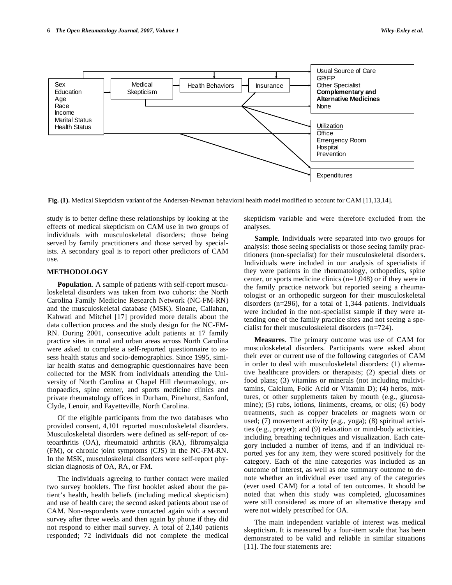

**Fig. (1).** Medical Skepticism variant of the Andersen-Newman behavioral health model modified to account for CAM [11,13,14].

study is to better define these relationships by looking at the effects of medical skepticism on CAM use in two groups of individuals with musculoskeletal disorders; those being served by family practitioners and those served by specialists. A secondary goal is to report other predictors of CAM use.

### **METHODOLOGY**

 **Population**. A sample of patients with self-report musculoskeletal disorders was taken from two cohorts: the North Carolina Family Medicine Research Network (NC-FM-RN) and the musculoskeletal database (MSK). Sloane, Callahan, Kahwati and Mitchel [17] provided more details about the data collection process and the study design for the NC-FM-RN. During 2001, consecutive adult patients at 17 family practice sites in rural and urban areas across North Carolina were asked to complete a self-reported questionnaire to assess health status and socio-demographics. Since 1995, similar health status and demographic questionnaires have been collected for the MSK from individuals attending the University of North Carolina at Chapel Hill rheumatology, orthopaedics, spine center, and sports medicine clinics and private rheumatology offices in Durham, Pinehurst, Sanford, Clyde, Lenoir, and Fayetteville, North Carolina.

 Of the eligible participants from the two databases who provided consent, 4,101 reported musculoskeletal disorders. Musculoskeletal disorders were defined as self-report of osteoarthritis (OA), rheumatoid arthritis (RA), fibromyalgia (FM), or chronic joint symptoms (CJS) in the NC-FM-RN. In the MSK, musculoskeletal disorders were self-report physician diagnosis of OA, RA, or FM.

 The individuals agreeing to further contact were mailed two survey booklets. The first booklet asked about the patient's health, health beliefs (including medical skepticism) and use of health care; the second asked patients about use of CAM. Non-respondents were contacted again with a second survey after three weeks and then again by phone if they did not respond to either mail survey. A total of 2,140 patients responded; 72 individuals did not complete the medical

skepticism variable and were therefore excluded from the analyses.

**Sample**. Individuals were separated into two groups for analysis: those seeing specialists or those seeing family practitioners (non-specialist) for their musculoskeletal disorders. Individuals were included in our analysis of specialists if they were patients in the rheumatology, orthopedics, spine center, or sports medicine clinics (n=1,048) or if they were in the family practice network but reported seeing a rheumatologist or an orthopedic surgeon for their musculoskeletal disorders (n=296), for a total of 1,344 patients. Individuals were included in the non-specialist sample if they were attending one of the family practice sites and not seeing a specialist for their musculoskeletal disorders (n=724).

 **Measures**. The primary outcome was use of CAM for musculoskeletal disorders. Participants were asked about their ever or current use of the following categories of CAM in order to deal with musculoskeletal disorders: (1) alternative healthcare providers or therapists; (2) special diets or food plans; (3) vitamins or minerals (not including multivitamins, Calcium, Folic Acid or Vitamin D); (4) herbs, mixtures, or other supplements taken by mouth (e.g., glucosamine); (5) rubs, lotions, liniments, creams, or oils; (6) body treatments, such as copper bracelets or magnets worn or used; (7) movement activity (e.g., yoga); (8) spiritual activities (e.g., prayer); and (9) relaxation or mind-body activities, including breathing techniques and visualization. Each category included a number of items, and if an individual reported yes for any item, they were scored positively for the category. Each of the nine categories was included as an outcome of interest, as well as one summary outcome to denote whether an individual ever used any of the categories (ever used CAM) for a total of ten outcomes. It should be noted that when this study was completed, glucosamines were still considered as more of an alternative therapy and were not widely prescribed for OA.

 The main independent variable of interest was medical skepticism. It is measured by a four-item scale that has been demonstrated to be valid and reliable in similar situations [11]. The four statements are: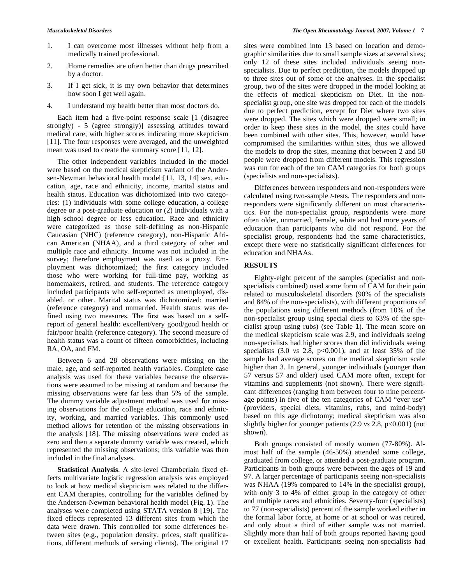- 1. I can overcome most illnesses without help from a medically trained professional.
- 2. Home remedies are often better than drugs prescribed by a doctor.
- 3. If I get sick, it is my own behavior that determines how soon I get well again.
- 4. I understand my health better than most doctors do.

 Each item had a five-point response scale [1 (disagree strongly) - 5 (agree strongly)] assessing attitudes toward medical care, with higher scores indicating more skepticism [11]. The four responses were averaged, and the unweighted mean was used to create the summary score [11, 12].

 The other independent variables included in the model were based on the medical skepticism variant of the Andersen-Newman behavioral health model:[11, 13, 14] sex, education, age, race and ethnicity, income, marital status and health status. Education was dichotomized into two categories: (1) individuals with some college education, a college degree or a post-graduate education or (2) individuals with a high school degree or less education. Race and ethnicity were categorized as those self-defining as non-Hispanic Caucasian (NHC) (reference category), non-Hispanic African American (NHAA), and a third category of other and multiple race and ethnicity. Income was not included in the survey; therefore employment was used as a proxy. Employment was dichotomized; the first category included those who were working for full-time pay, working as homemakers, retired, and students. The reference category included participants who self-reported as unemployed, disabled, or other. Marital status was dichotomized: married (reference category) and unmarried. Health status was defined using two measures. The first was based on a selfreport of general health: excellent/very good/good health or fair/poor health (reference category). The second measure of health status was a count of fifteen comorbidities, including RA, OA, and FM.

 Between 6 and 28 observations were missing on the male, age, and self-reported health variables. Complete case analysis was used for these variables because the observations were assumed to be missing at random and because the missing observations were far less than 5% of the sample. The dummy variable adjustment method was used for missing observations for the college education, race and ethnicity, working, and married variables. This commonly used method allows for retention of the missing observations in the analysis [18]. The missing observations were coded as zero and then a separate dummy variable was created, which represented the missing observations; this variable was then included in the final analyses.

 **Statistical Analysis**. A site-level Chamberlain fixed effects multivariate logistic regression analysis was employed to look at how medical skepticism was related to the different CAM therapies, controlling for the variables defined by the Andersen-Newman behavioral health model (Fig. **1**). The analyses were completed using STATA version 8 [19]. The fixed effects represented 13 different sites from which the data were drawn. This controlled for some differences between sites (e.g., population density, prices, staff qualifications, different methods of serving clients). The original 17 sites were combined into 13 based on location and demographic similarities due to small sample sizes at several sites; only 12 of these sites included individuals seeing nonspecialists. Due to perfect prediction, the models dropped up to three sites out of some of the analyses. In the specialist group, two of the sites were dropped in the model looking at the effects of medical skepticism on Diet. In the nonspecialist group, one site was dropped for each of the models due to perfect prediction, except for Diet where two sites were dropped. The sites which were dropped were small; in order to keep these sites in the model, the sites could have been combined with other sites. This, however, would have compromised the similarities within sites, thus we allowed the models to drop the sites, meaning that between 2 and 50 people were dropped from different models. This regression was run for each of the ten CAM categories for both groups (specialists and non-specialists).

 Differences between responders and non-responders were calculated using two-sample *t*-tests. The responders and nonresponders were significantly different on most characteristics. For the non-specialist group, respondents were more often older, unmarried, female, white and had more years of education than participants who did not respond. For the specialist group, respondents had the same characteristics, except there were no statistically significant differences for education and NHAAs.

# **RESULTS**

 Eighty-eight percent of the samples (specialist and nonspecialists combined) used some form of CAM for their pain related to musculoskeletal disorders (90% of the specialists and 84% of the non-specialists), with different proportions of the populations using different methods (from 10% of the non-specialist group using special diets to 63% of the specialist group using rubs) (see Table **1**). The mean score on the medical skepticism scale was 2.9, and individuals seeing non-specialists had higher scores than did individuals seeing specialists  $(3.0 \text{ vs } 2.8, \text{ p} < 0.001)$ , and at least  $35\%$  of the sample had average scores on the medical skepticism scale higher than 3. In general, younger individuals (younger than 57 versus 57 and older) used CAM more often, except for vitamins and supplements (not shown). There were significant differences (ranging from between four to nine percentage points) in five of the ten categories of CAM "ever use" (providers, special diets, vitamins, rubs, and mind-body) based on this age dichotomy; medical skepticism was also slightly higher for younger patients (2.9 *vs* 2.8, p<0.001) (not shown).

 Both groups consisted of mostly women (77-80%). Almost half of the sample (46-50%) attended some college, graduated from college, or attended a post-graduate program. Participants in both groups were between the ages of 19 and 97. A larger percentage of participants seeing non-specialists was NHAA (19% compared to 14% in the specialist group), with only 3 to 4% of either group in the category of other and multiple races and ethnicities. Seventy-four (specialists) to 77 (non-specialists) percent of the sample worked either in the formal labor force, at home or at school or was retired, and only about a third of either sample was not married. Slightly more than half of both groups reported having good or excellent health. Participants seeing non-specialists had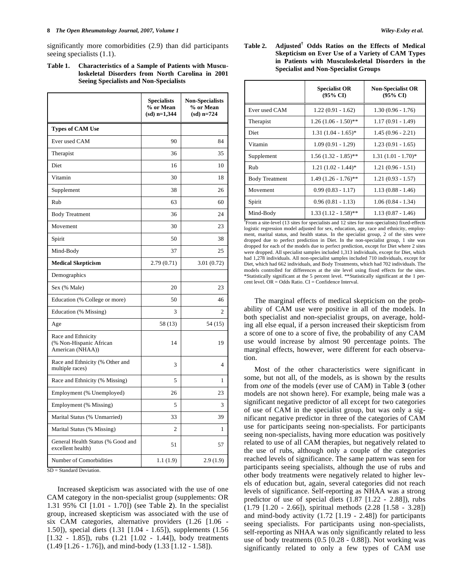#### **8** *The Open Rheumatology Journal, 2007, Volume 1 Wiley-Exley et al.*

significantly more comorbidities (2.9) than did participants seeing specialists  $(1.1)$ .

| Table 1. | <b>Characteristics of a Sample of Patients with Muscu-</b> |
|----------|------------------------------------------------------------|
|          | loskeletal Disorders from North Carolina in 2001           |
|          | <b>Seeing Specialists and Non-Specialists</b>              |

|                                                                   | <b>Specialists</b><br>% or Mean<br>$(sd)$ n=1,344 | <b>Non-Specialists</b><br>% or Mean<br>$(sd)$ n=724 |
|-------------------------------------------------------------------|---------------------------------------------------|-----------------------------------------------------|
| <b>Types of CAM Use</b>                                           |                                                   |                                                     |
| Ever used CAM                                                     | 90                                                | 84                                                  |
| Therapist                                                         | 36                                                | 35                                                  |
| Diet                                                              | 16                                                | 10                                                  |
| Vitamin                                                           | 30                                                | 18                                                  |
| Supplement                                                        | 38                                                | 26                                                  |
| Rub                                                               | 63                                                | 60                                                  |
| <b>Body Treatment</b>                                             | 36                                                | 24                                                  |
| Movement                                                          | 30                                                | 23                                                  |
| Spirit                                                            | 50                                                | 38                                                  |
| Mind-Body                                                         | 37                                                | 25                                                  |
| <b>Medical Skepticism</b>                                         | 2.79(0.71)                                        | 3.01(0.72)                                          |
| Demographics                                                      |                                                   |                                                     |
| Sex (% Male)                                                      | 20                                                | 23                                                  |
| Education (% College or more)                                     | 50                                                | 46                                                  |
| Education (% Missing)                                             | 3                                                 | 2                                                   |
| Age                                                               | 58 (13)                                           | 54(15)                                              |
| Race and Ethnicity<br>(% Non-Hispanic African<br>American (NHAA)) | 14                                                | 19                                                  |
| Race and Ethnicity (% Other and<br>multiple races)                | 3                                                 | 4                                                   |
| Race and Ethnicity (% Missing)                                    | 5                                                 | 1                                                   |
| Employment (% Unemployed)                                         | 26                                                | 23                                                  |
| Employment (% Missing)                                            | 5                                                 | 3                                                   |
| Marital Status (% Unmarried)                                      | 33                                                | 39                                                  |
| Marital Status (% Missing)                                        | $\overline{c}$                                    | 1                                                   |
| General Health Status (% Good and<br>excellent health)            | 51                                                | 57                                                  |
| Number of Comorbidities                                           | 1.1(1.9)                                          | 2.9(1.9)                                            |

SD = Standard Deviation.

 Increased skepticism was associated with the use of one CAM category in the non-specialist group (supplements: OR 1.31 95% CI [1.01 - 1.70]) (see Table **2**). In the specialist group, increased skepticism was associated with the use of six CAM categories, alternative providers (1.26 [1.06 - 1.50]), special diets (1.31 [1.04 - 1.65]), supplements (1.56 [1.32 - 1.85]), rubs (1.21 [1.02 - 1.44]), body treatments (1.49 [1.26 - 1.76]), and mind-body (1.33 [1.12 - 1.58]).

**Table 2. Adjusted† Odds Ratios on the Effects of Medical Skepticism on Ever Use of a Variety of CAM Types in Patients with Musculoskeletal Disorders in the Specialist and Non-Specialist Groups** 

|                       | <b>Specialist OR</b><br>$(95\% \text{ CI})$ | <b>Non-Specialist OR</b><br>$(95\% \text{ CI})$ |
|-----------------------|---------------------------------------------|-------------------------------------------------|
| Ever used CAM         | $1.22(0.91 - 1.62)$                         | $1.30(0.96 - 1.76)$                             |
| Therapist             | $1.26(1.06 - 1.50)$ **                      | $1.17(0.91 - 1.49)$                             |
| Diet                  | $1.31 (1.04 - 1.65)^*$                      | $1.45(0.96 - 2.21)$                             |
| Vitamin               | $1.09(0.91 - 1.29)$                         | $1.23(0.91 - 1.65)$                             |
| Supplement            | $1.56(1.32 - 1.85)$ **                      | $1.31(1.01 - 1.70)^*$                           |
| Rub                   | $1.21(1.02 - 1.44)^*$                       | $1.21(0.96 - 1.51)$                             |
| <b>Body Treatment</b> | $1.49(1.26 - 1.76)$ **                      | $1.21(0.93 - 1.57)$                             |
| Movement              | $0.99(0.83 - 1.17)$                         | $1.13(0.88 - 1.46)$                             |
| Spirit                | $0.96(0.81 - 1.13)$                         | $1.06(0.84 - 1.34)$                             |
| Mind-Body             | $1.33(1.12 - 1.58)$ **                      | $1.13(0.87 - 1.46)$                             |

<sup>†</sup>From a site-level (13 sites for specialists and 12 sites for non-specialists) fixed-effects logistic regression model adjusted for sex, education, age, race and ethnicity, employment, marital status, and health status. In the specialist group, 2 of the sites were dropped due to perfect prediction in Diet. In the non-specialist group, 1 site was dropped for each of the models due to perfect prediction, except for Diet where 2 sites were dropped. All specialist samples included 1,313 individuals, except for Diet, which had 1,278 individuals. All non-specialist samples included 710 individuals, except for Diet, which had 662 individuals, and Body Treatments, which had 702 individuals. The models controlled for differences at the site level using fixed effects for the sites.<br>\*Statistically significant at the 5 percent level. \*\*Statistically significant at the 1 percent level. OR = Odds Ratio. CI = Confidence Interval.

 The marginal effects of medical skepticism on the probability of CAM use were positive in all of the models. In both specialist and non-specialist groups, on average, holding all else equal, if a person increased their skepticism from a score of one to a score of five, the probability of any CAM use would increase by almost 90 percentage points. The marginal effects, however, were different for each observation.

 Most of the other characteristics were significant in some, but not all, of the models, as is shown by the results from *one* of the models (ever use of CAM) in Table **3** (other models are not shown here). For example, being male was a significant negative predictor of all except for two categories of use of CAM in the specialist group, but was only a significant negative predictor in three of the categories of CAM use for participants seeing non-specialists. For participants seeing non-specialists, having more education was positively related to use of all CAM therapies, but negatively related to the use of rubs, although only a couple of the categories reached levels of significance. The same pattern was seen for participants seeing specialists, although the use of rubs and other body treatments were negatively related to higher levels of education but, again, several categories did not reach levels of significance. Self-reporting as NHAA was a strong predictor of use of special diets (1.87 [1.22 - 2.88]), rubs (1.79 [1.20 - 2.66]), spiritual methods (2.28 [1.58 - 3.28]) and mind-body activity (1.72 [1.19 - 2.48]) for participants seeing specialists. For participants using non-specialists, self-reporting as NHAA was only significantly related to less use of body treatments (0.5 [0.28 - 0.88]). Not working was significantly related to only a few types of CAM use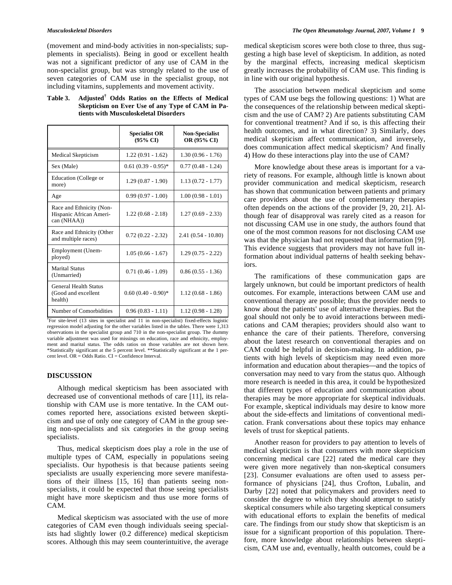(movement and mind-body activities in non-specialists; supplements in specialists). Being in good or excellent health was not a significant predictor of any use of CAM in the non-specialist group, but was strongly related to the use of seven categories of CAM use in the specialist group, not including vitamins, supplements and movement activity.

| Table 3. | Adjusted <sup>†</sup> Odds Ratios on the Effects of Medical |
|----------|-------------------------------------------------------------|
|          | Skepticism on Ever Use of any Type of CAM in Pa-            |
|          | tients with Musculoskeletal Disorders                       |

|                                                                    | <b>Specialist OR</b><br>$(95\% \text{ CI})$ | <b>Non-Specialist</b><br>OR (95% CI) |
|--------------------------------------------------------------------|---------------------------------------------|--------------------------------------|
| Medical Skepticism                                                 | $1.22(0.91 - 1.62)$                         | $1.30(0.96 - 1.76)$                  |
| Sex (Male)                                                         | $0.61(0.39 - 0.95)^*$                       | $0.77(0.48 - 1.24)$                  |
| Education (College or<br>more)                                     | $1.29(0.87 - 1.90)$                         | $1.13(0.72 - 1.77)$                  |
| Age                                                                | $0.99(0.97 - 1.00)$                         | $1.00(0.98 - 1.01)$                  |
| Race and Ethnicity (Non-<br>Hispanic African Ameri-<br>can (NHAA)) | $1.22(0.68 - 2.18)$                         | $1.27(0.69 - 2.33)$                  |
| Race and Ethnicity (Other<br>and multiple races)                   | $0.72(0.22 - 2.32)$                         | $2.41(0.54 - 10.80)$                 |
| Employment (Unem-<br>ployed)                                       | $1.05(0.66 - 1.67)$                         | $1.29(0.75 - 2.22)$                  |
| <b>Marital Status</b><br>(Unmarried)                               | $0.71(0.46 - 1.09)$                         | $0.86(0.55 - 1.36)$                  |
| General Health Status<br>(Good and excellent<br>health)            | $0.60(0.40 - 0.90)^*$                       | $1.12(0.68 - 1.86)$                  |
| Number of Comorbidities                                            | $0.96(0.83 - 1.11)$                         | $1.12(0.98 - 1.28)$                  |

**†** For site-level (13 sites in specialist and 11 in non-specialist) fixed-effects logistic regression model adjusting for the other variables listed in the tables. There were 1,313 observations in the specialist group and 710 in the non-specialist group. The dummy variable adjustment was used for missings on education, race and ethnicity, employment and marital status. The odds ratios on those variables are not shown here. \*Statistically significant at the 5 percent level. \*\*Statistically significant at the 1 percent level.  $OR = Odds$  Ratio.  $CI = Confidence Interval$ .

#### **DISCUSSION**

 Although medical skepticism has been associated with decreased use of conventional methods of care [11], its relationship with CAM use is more tentative. In the CAM outcomes reported here, associations existed between skepticism and use of only one category of CAM in the group seeing non-specialists and six categories in the group seeing specialists.

 Thus, medical skepticism does play a role in the use of multiple types of CAM, especially in populations seeing specialists. Our hypothesis is that because patients seeing specialists are usually experiencing more severe manifestations of their illness [15, 16] than patients seeing nonspecialists, it could be expected that those seeing specialists might have more skepticism and thus use more forms of CAM.

 Medical skepticism was associated with the use of more categories of CAM even though individuals seeing specialists had slightly lower (0.2 difference) medical skepticism scores. Although this may seem counterintuitive, the average medical skepticism scores were both close to three, thus suggesting a high base level of skepticism. In addition, as noted by the marginal effects, increasing medical skepticism greatly increases the probability of CAM use. This finding is in line with our original hypothesis.

 The association between medical skepticism and some types of CAM use begs the following questions: 1) What are the consequences of the relationship between medical skepticism and the use of CAM? 2) Are patients substituting CAM for conventional treatment? And if so, is this affecting their health outcomes, and in what direction? 3) Similarly, does medical skepticism affect communication, and inversely, does communication affect medical skepticism? And finally 4) How do these interactions play into the use of CAM?

 More knowledge about these areas is important for a variety of reasons. For example, although little is known about provider communication and medical skepticism, research has shown that communication between patients and primary care providers about the use of complementary therapies often depends on the actions of the provider [9, 20, 21]. Although fear of disapproval was rarely cited as a reason for not discussing CAM use in one study, the authors found that one of the most common reasons for not disclosing CAM use was that the physician had not requested that information [9]. This evidence suggests that providers may not have full information about individual patterns of health seeking behaviors.

 The ramifications of these communication gaps are largely unknown, but could be important predictors of health outcomes. For example, interactions between CAM use and conventional therapy are possible; thus the provider needs to know about the patients' use of alternative therapies. But the goal should not only be to avoid interactions between medications and CAM therapies; providers should also want to enhance the care of their patients. Therefore, conversing about the latest research on conventional therapies and on CAM could be helpful in decision-making. In addition, patients with high levels of skepticism may need even more information and education about therapies—and the topics of conversation may need to vary from the status quo. Although more research is needed in this area, it could be hypothesized that different types of education and communication about therapies may be more appropriate for skeptical individuals. For example, skeptical individuals may desire to know more about the side-effects and limitations of conventional medication. Frank conversations about these topics may enhance levels of trust for skeptical patients.

 Another reason for providers to pay attention to levels of medical skepticism is that consumers with more skepticism concerning medical care [22] rated the medical care they were given more negatively than non-skeptical consumers [23]. Consumer evaluations are often used to assess performance of physicians [24], thus Crofton, Lubalin, and Darby [22] noted that policymakers and providers need to consider the degree to which they should attempt to satisfy skeptical consumers while also targeting skeptical consumers with educational efforts to explain the benefits of medical care. The findings from our study show that skepticism is an issue for a significant proportion of this population. Therefore, more knowledge about relationships between skepticism, CAM use and, eventually, health outcomes, could be a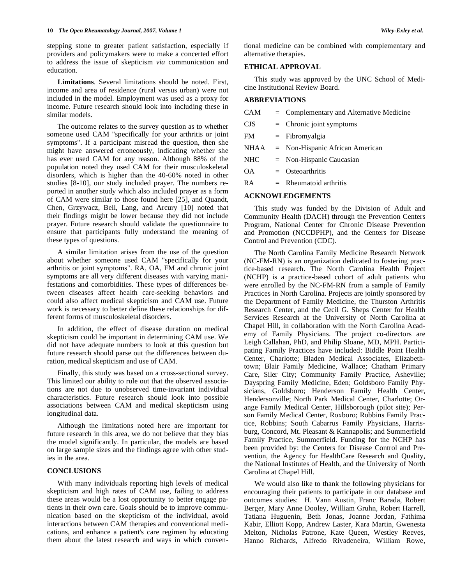stepping stone to greater patient satisfaction, especially if providers and policymakers were to make a concerted effort to address the issue of skepticism *via* communication and education.

 **Limitations**. Several limitations should be noted. First, income and area of residence (rural versus urban) were not included in the model. Employment was used as a proxy for income. Future research should look into including these in similar models.

 The outcome relates to the survey question as to whether someone used CAM "specifically for your arthritis or joint symptoms". If a participant misread the question, then she might have answered erroneously, indicating whether she has ever used CAM for any reason. Although 88% of the population noted they used CAM for their musculoskeletal disorders, which is higher than the 40-60% noted in other studies [8-10], our study included prayer. The numbers reported in another study which also included prayer as a form of CAM were similar to those found here [25], and Quandt, Chen, Grzywacz, Bell, Lang, and Arcury [10] noted that their findings might be lower because they did not include prayer. Future research should validate the questionnaire to ensure that participants fully understand the meaning of these types of questions.

 A similar limitation arises from the use of the question about whether someone used CAM "specifically for your arthritis or joint symptoms". RA, OA, FM and chronic joint symptoms are all very different diseases with varying manifestations and comorbidities. These types of differences between diseases affect health care-seeking behaviors and could also affect medical skepticism and CAM use. Future work is necessary to better define these relationships for different forms of musculoskeletal disorders.

 In addition, the effect of disease duration on medical skepticism could be important in determining CAM use. We did not have adequate numbers to look at this question but future research should parse out the differences between duration, medical skepticism and use of CAM.

 Finally, this study was based on a cross-sectional survey. This limited our ability to rule out that the observed associations are not due to unobserved time-invariant individual characteristics. Future research should look into possible associations between CAM and medical skepticism using longitudinal data.

 Although the limitations noted here are important for future research in this area, we do not believe that they bias the model significantly. In particular, the models are based on large sample sizes and the findings agree with other studies in the area.

# **CONCLUSIONS**

 With many individuals reporting high levels of medical skepticism and high rates of CAM use, failing to address these areas would be a lost opportunity to better engage patients in their own care. Goals should be to improve communication based on the skepticism of the individual, avoid interactions between CAM therapies and conventional medications, and enhance a patient's care regimen by educating them about the latest research and ways in which conventional medicine can be combined with complementary and alternative therapies.

# **ETHICAL APPROVAL**

 This study was approved by the UNC School of Medicine Institutional Review Board.

### **ABBREVIATIONS**

| <b>CAM</b> | $=$ Complementary and Alternative Medicine |
|------------|--------------------------------------------|
| <b>CJS</b> | $=$ Chronic joint symptoms                 |
| FM         | $=$ Fibromyalgia                           |
| NHAA       | $=$ Non-Hispanic African American          |
| <b>NHC</b> | $=$ Non-Hispanic Caucasian                 |
| OΑ         | $=$ Osteoarthritis                         |
| R A        | $=$ Rheumatoid arthritis                   |
|            |                                            |

# **ACKNOWLEDGEMENTS**

 This study was funded by the Division of Adult and Community Health (DACH) through the Prevention Centers Program, National Center for Chronic Disease Prevention and Promotion (NCCDPHP), and the Centers for Disease Control and Prevention (CDC).

 The North Carolina Family Medicine Research Network (NC-FM-RN) is an organization dedicated to fostering practice-based research. The North Carolina Health Project (NCHP) is a practice-based cohort of adult patients who were enrolled by the NC-FM-RN from a sample of Family Practices in North Carolina. Projects are jointly sponsored by the Department of Family Medicine, the Thurston Arthritis Research Center, and the Cecil G. Sheps Center for Health Services Research at the University of North Carolina at Chapel Hill, in collaboration with the North Carolina Academy of Family Physicians. The project co-directors are Leigh Callahan, PhD, and Philip Sloane, MD, MPH. Participating Family Practices have included: Biddle Point Health Center, Charlotte; Bladen Medical Associates, Elizabethtown; Blair Family Medicine, Wallace; Chatham Primary Care, Siler City; Community Family Practice, Asheville; Dayspring Family Medicine, Eden; Goldsboro Family Physicians, Goldsboro; Henderson Family Health Center, Hendersonville; North Park Medical Center, Charlotte; Orange Family Medical Center, Hillsborough (pilot site); Person Family Medical Center, Roxboro; Robbins Family Practice, Robbins; South Cabarrus Family Physicians, Harrisburg, Concord, Mt. Pleasant & Kannapolis; and Summerfield Family Practice, Summerfield. Funding for the NCHP has been provided by: the Centers for Disease Control and Prevention, the Agency for HealthCare Research and Quality, the National Institutes of Health, and the University of North Carolina at Chapel Hill.

 We would also like to thank the following physicians for encouraging their patients to participate in our database and outcomes studies: H. Vann Austin, Franc Barada, Robert Berger, Mary Anne Dooley, William Gruhn, Robert Harrell, Tatiana Huguenin, Beth Jonas, Joanne Jordan, Fathima Kabir, Elliott Kopp, Andrew Laster, Kara Martin, Gwenesta Melton, Nicholas Patrone, Kate Queen, Westley Reeves, Hanno Richards, Alfredo Rivadeneira, William Rowe,